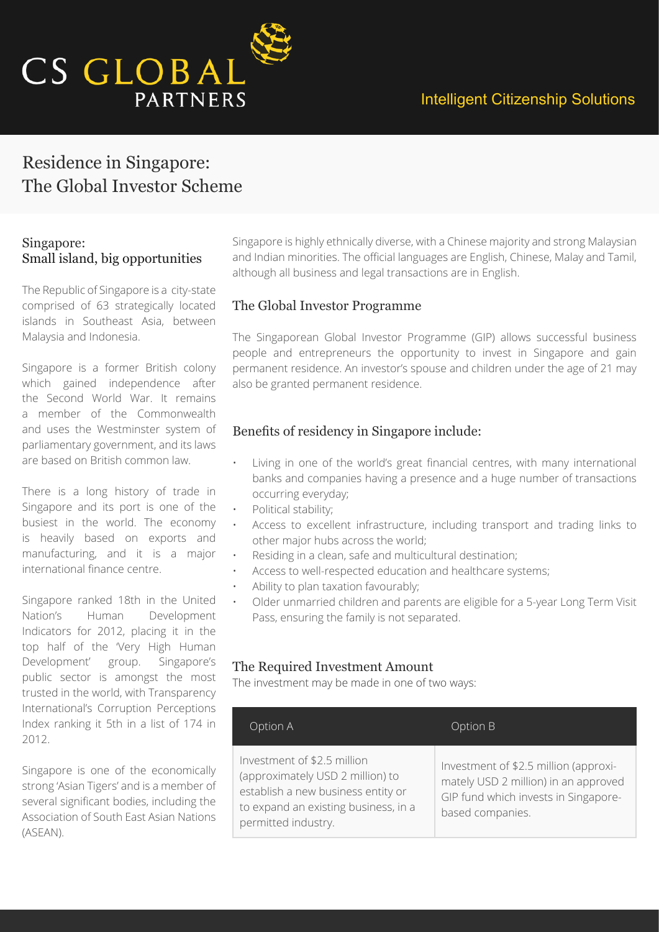

# Residence in Singapore: The Global Investor Scheme

### Singapore: Small island, big opportunities

The Republic of Singapore is a city-state comprised of 63 strategically located islands in Southeast Asia, between Malaysia and Indonesia.

Singapore is a former British colony which gained independence after the Second World War. It remains a member of the Commonwealth and uses the Westminster system of parliamentary government, and its laws are based on British common law.

There is a long history of trade in Singapore and its port is one of the busiest in the world. The economy is heavily based on exports and manufacturing, and it is a major international finance centre.

Singapore ranked 18th in the United Nation's Human Development Indicators for 2012, placing it in the top half of the 'Very High Human Development' group. Singapore's public sector is amongst the most trusted in the world, with Transparency International's Corruption Perceptions Index ranking it 5th in a list of 174 in 2012.

Singapore is one of the economically strong 'Asian Tigers' and is a member of several significant bodies, including the Association of South East Asian Nations (ASEAN).

Singapore is highly ethnically diverse, with a Chinese majority and strong Malaysian and Indian minorities. The official languages are English, Chinese, Malay and Tamil, although all business and legal transactions are in English.

### The Global Investor Programme

The Singaporean Global Investor Programme (GIP) allows successful business people and entrepreneurs the opportunity to invest in Singapore and gain permanent residence. An investor's spouse and children under the age of 21 may also be granted permanent residence.

### Benefits of residency in Singapore include:

- Living in one of the world's great financial centres, with many international banks and companies having a presence and a huge number of transactions occurring everyday;
- Political stability;
- Access to excellent infrastructure, including transport and trading links to other major hubs across the world;
- Residing in a clean, safe and multicultural destination;
- Access to well-respected education and healthcare systems;
- Ability to plan taxation favourably;
- Older unmarried children and parents are eligible for a 5-year Long Term Visit Pass, ensuring the family is not separated.

#### The Required Investment Amount

The investment may be made in one of two ways:

| Option A                                                                                                                                                             | Option B                                                                                                                                  |
|----------------------------------------------------------------------------------------------------------------------------------------------------------------------|-------------------------------------------------------------------------------------------------------------------------------------------|
| Investment of \$2.5 million<br>(approximately USD 2 million) to<br>establish a new business entity or<br>to expand an existing business, in a<br>permitted industry. | Investment of \$2.5 million (approxi-<br>mately USD 2 million) in an approved<br>GIP fund which invests in Singapore-<br>based companies. |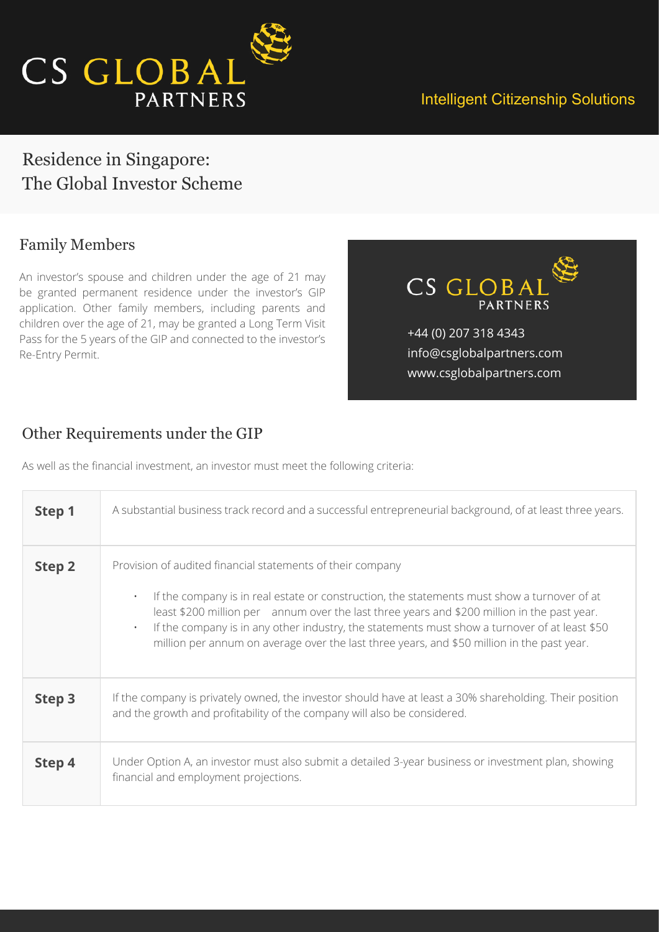

## Residence in Singapore: The Global Investor Scheme

### Family Members

An investor's spouse and children under the age of 21 may be granted permanent residence under the investor's GIP application. Other family members, including parents and children over the age of 21, may be granted a Long Term Visit Pass for the 5 years of the GIP and connected to the investor's Re-Entry Permit.

CS GLOB. **PARTNERS** 

+44 (0) 207 318 4343 info@csglobalpartners.com www.csglobalpartners.com

### Other Requirements under the GIP

As well as the financial investment, an investor must meet the following criteria:

| Step 1 | A substantial business track record and a successful entrepreneurial background, of at least three years.                                                                                                                                                                                                                                                                                                                                                                         |
|--------|-----------------------------------------------------------------------------------------------------------------------------------------------------------------------------------------------------------------------------------------------------------------------------------------------------------------------------------------------------------------------------------------------------------------------------------------------------------------------------------|
| Step 2 | Provision of audited financial statements of their company<br>If the company is in real estate or construction, the statements must show a turnover of at<br>$\bullet$<br>least \$200 million per annum over the last three years and \$200 million in the past year.<br>If the company is in any other industry, the statements must show a turnover of at least \$50<br>$\bullet$<br>million per annum on average over the last three years, and \$50 million in the past year. |
| Step 3 | If the company is privately owned, the investor should have at least a 30% shareholding. Their position<br>and the growth and profitability of the company will also be considered.                                                                                                                                                                                                                                                                                               |
| Step 4 | Under Option A, an investor must also submit a detailed 3-year business or investment plan, showing<br>financial and employment projections.                                                                                                                                                                                                                                                                                                                                      |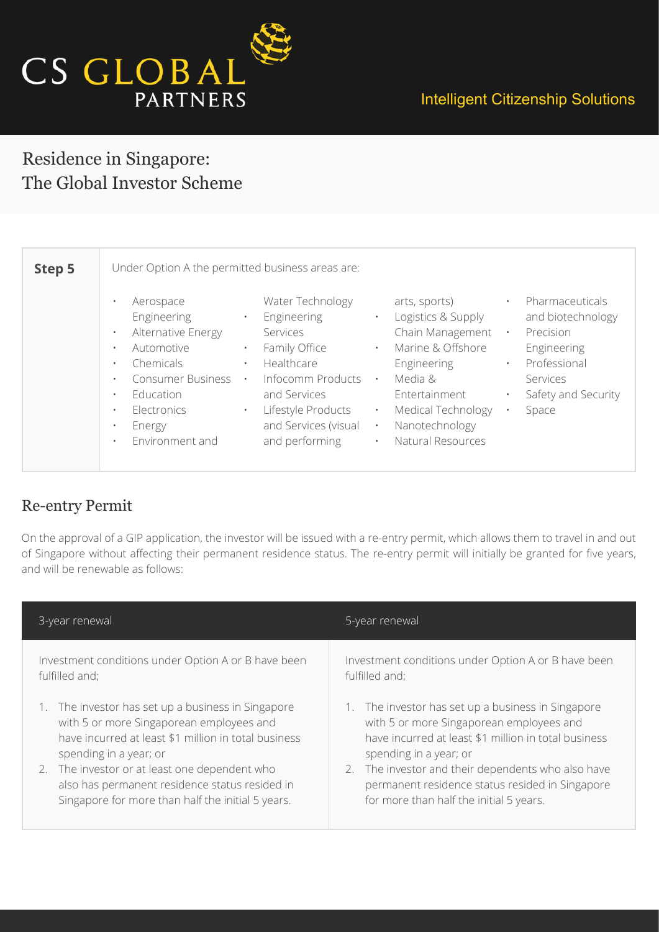

## Intelligent Citizenship Solutions

## Residence in Singapore: The Global Investor Scheme

| Step 5 | Under Option A the permitted business areas are:                                                                                                                                                                                                                                                                                                                                                                                                                                                                                                                                                                                                                                                                                                                                                                                                                                                                                                                                     |
|--------|--------------------------------------------------------------------------------------------------------------------------------------------------------------------------------------------------------------------------------------------------------------------------------------------------------------------------------------------------------------------------------------------------------------------------------------------------------------------------------------------------------------------------------------------------------------------------------------------------------------------------------------------------------------------------------------------------------------------------------------------------------------------------------------------------------------------------------------------------------------------------------------------------------------------------------------------------------------------------------------|
|        | Pharmaceuticals<br>Water Technology<br>arts, sports)<br>Aerospace<br>$\bullet$<br>$\bullet$<br>Logistics & Supply<br>Engineering<br>Engineering<br>and biotechnology<br>$\bullet$<br>$\bullet$<br>Chain Management<br>Alternative Energy<br>Precision<br>Services<br>$\bullet$<br>$\bullet$<br>Marine & Offshore<br>Family Office<br>Engineering<br>Automotive<br>$\bullet$<br>$\bullet$<br>$\bullet$<br>Healthcare<br>Engineering<br>Professional<br>Chemicals<br>$\bullet$<br>$\bullet$<br>$\bullet$<br>Infocomm Products<br><b>Consumer Business</b><br>Services<br>Media &<br>$\bullet$<br>$\bullet$<br>$\bullet$<br>Safety and Security<br>Education<br>and Services<br>Entertainment<br>$\bullet$<br>Lifestyle Products<br>Medical Technology<br>Electronics<br>Space<br>$\bullet$<br>$\bullet$<br>$\bullet$<br>and Services (visual<br>Nanotechnology<br>Energy<br>$\bullet$<br>$\bullet$<br>Natural Resources<br>Environment and<br>and performing<br>$\bullet$<br>$\bullet$ |

### Re-entry Permit

On the approval of a GIP application, the investor will be issued with a re-entry permit, which allows them to travel in and out of Singapore without affecting their permanent residence status. The re-entry permit will initially be granted for five years, and will be renewable as follows:

| 3-year renewal                                       | 5-year renewal                                       |
|------------------------------------------------------|------------------------------------------------------|
| Investment conditions under Option A or B have been  | Investment conditions under Option A or B have been  |
| fulfilled and;                                       | fulfilled and;                                       |
| The investor has set up a business in Singapore      | 1. The investor has set up a business in Singapore   |
| with 5 or more Singaporean employees and             | with 5 or more Singaporean employees and             |
| have incurred at least \$1 million in total business | have incurred at least \$1 million in total business |
| spending in a year; or                               | spending in a year; or                               |
| 2. The investor or at least one dependent who        | 2. The investor and their dependents who also have   |
| also has permanent residence status resided in       | permanent residence status resided in Singapore      |
| Singapore for more than half the initial 5 years.    | for more than half the initial 5 years.              |